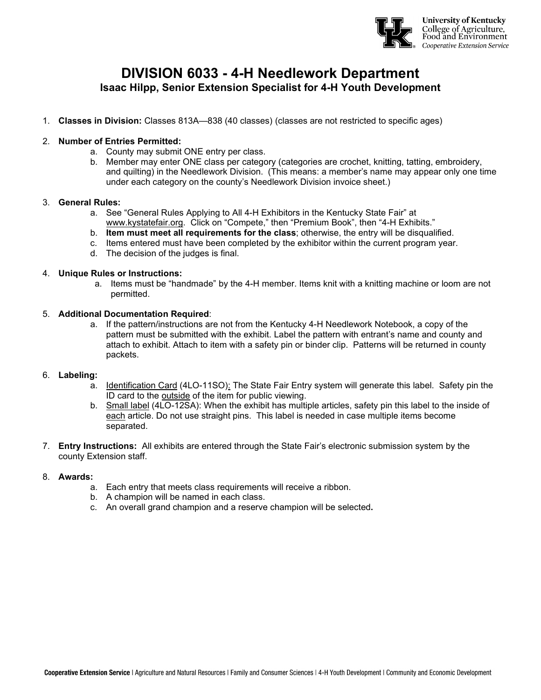

# **DIVISION 6033 - 4-H Needlework Department Isaac Hilpp, Senior Extension Specialist for 4-H Youth Development**

1. **Classes in Division:** Classes 813A—838 (40 classes) (classes are not restricted to specific ages)

# 2. **Number of Entries Permitted:**

- a. County may submit ONE entry per class.
- b. Member may enter ONE class per category (categories are crochet, knitting, tatting, embroidery, and quilting) in the Needlework Division. (This means: a member's name may appear only one time under each category on the county's Needlework Division invoice sheet.)

# 3. **General Rules:**

- a. See "General Rules Applying to All 4-H Exhibitors in the Kentucky State Fair" at [www.kystatefair.org.](http://www.kystatefair.org/) Click on "Compete," then "Premium Book", then "4-H Exhibits."
- b. **Item must meet all requirements for the class**; otherwise, the entry will be disqualified.
- c. Items entered must have been completed by the exhibitor within the current program year.
- d. The decision of the judges is final.

#### 4. **Unique Rules or Instructions:**

a. Items must be "handmade" by the 4-H member. Items knit with a knitting machine or loom are not permitted.

#### 5. **Additional Documentation Required**:

a. If the pattern/instructions are not from the Kentucky 4-H Needlework Notebook, a copy of the pattern must be submitted with the exhibit. Label the pattern with entrant's name and county and attach to exhibit. Attach to item with a safety pin or binder clip. Patterns will be returned in county packets.

# 6. **Labeling:**

- a. Identification Card (4LO-11SO): The State Fair Entry system will generate this label. Safety pin the ID card to the outside of the item for public viewing.
- b. Small label (4LO-12SA): When the exhibit has multiple articles, safety pin this label to the inside of each article. Do not use straight pins. This label is needed in case multiple items become separated.
- 7. **Entry Instructions:** All exhibits are entered through the State Fair's electronic submission system by the county Extension staff.

# 8. **Awards:**

- a. Each entry that meets class requirements will receive a ribbon.
- b. A champion will be named in each class.
- c. An overall grand champion and a reserve champion will be selected**.**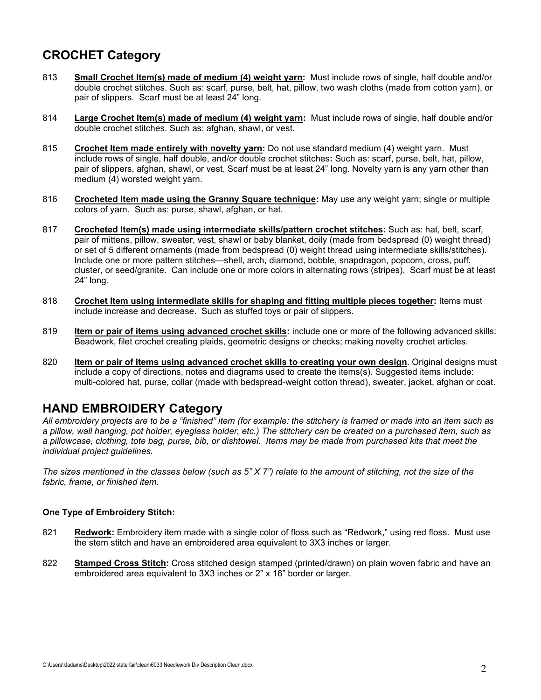# **CROCHET Category**

- 813 **Small Crochet Item(s) made of medium (4) weight yarn:** Must include rows of single, half double and/or double crochet stitches. Such as: scarf, purse, belt, hat, pillow, two wash cloths (made from cotton yarn), or pair of slippers. Scarf must be at least 24" long.
- 814 **Large Crochet Item(s) made of medium (4) weight yarn:** Must include rows of single, half double and/or double crochet stitches. Such as: afghan, shawl, or vest.
- 815 **Crochet Item made entirely with novelty yarn:** Do not use standard medium (4) weight yarn. Must include rows of single, half double, and/or double crochet stitches**:** Such as: scarf, purse, belt, hat, pillow, pair of slippers, afghan, shawl, or vest. Scarf must be at least 24" long. Novelty yarn is any yarn other than medium (4) worsted weight yarn.
- 816 **Crocheted Item made using the Granny Square technique:** May use any weight yarn; single or multiple colors of yarn. Such as: purse, shawl, afghan, or hat.
- 817 **Crocheted Item(s) made using intermediate skills/pattern crochet stitches:** Such as: hat, belt, scarf, pair of mittens, pillow, sweater, vest, shawl or baby blanket, doily (made from bedspread (0) weight thread) or set of 5 different ornaments (made from bedspread (0) weight thread using intermediate skills/stitches). Include one or more pattern stitches—shell, arch, diamond, bobble, snapdragon, popcorn, cross, puff, cluster, or seed/granite. Can include one or more colors in alternating rows (stripes). Scarf must be at least 24" long.
- 818 **Crochet Item using intermediate skills for shaping and fitting multiple pieces together:** Items must include increase and decrease. Such as stuffed toys or pair of slippers.
- 819 **Item or pair of items using advanced crochet skills:** include one or more of the following advanced skills: Beadwork, filet crochet creating plaids, geometric designs or checks; making novelty crochet articles.
- 820 **Item or pair of items using advanced crochet skills to creating your own design**. Original designs must include a copy of directions, notes and diagrams used to create the items(s). Suggested items include: multi-colored hat, purse, collar (made with bedspread-weight cotton thread), sweater, jacket, afghan or coat.

# **HAND EMBROIDERY Category**

*All embroidery projects are to be a "finished" item (for example: the stitchery is framed or made into an item such as a pillow, wall hanging, pot holder, eyeglass holder, etc.) The stitchery can be created on a purchased item, such as a pillowcase, clothing, tote bag, purse, bib, or dishtowel. Items may be made from purchased kits that meet the individual project guidelines.* 

*The sizes mentioned in the classes below (such as 5" X 7") relate to the amount of stitching, not the size of the fabric, frame, or finished item.*

# **One Type of Embroidery Stitch:**

- 821 **Redwork:** Embroidery item made with a single color of floss such as "Redwork," using red floss. Must use the stem stitch and have an embroidered area equivalent to 3X3 inches or larger.
- 822 **Stamped Cross Stitch:** Cross stitched design stamped (printed/drawn) on plain woven fabric and have an embroidered area equivalent to 3X3 inches or 2" x 16" border or larger.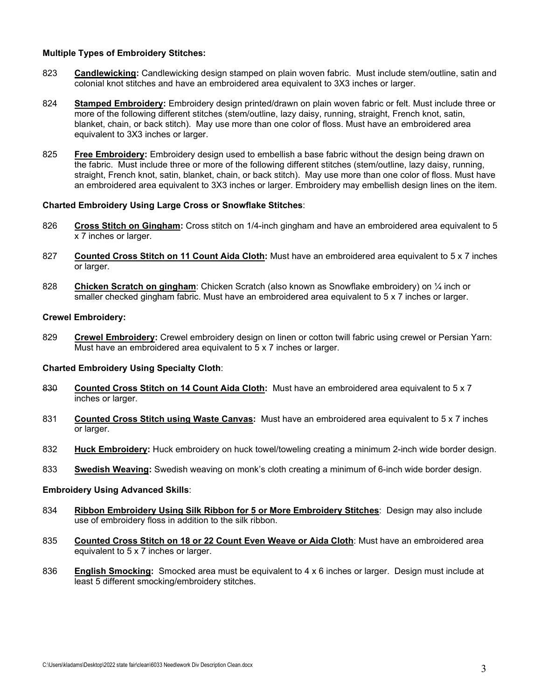# **Multiple Types of Embroidery Stitches:**

- 823 **Candlewicking:** Candlewicking design stamped on plain woven fabric. Must include stem/outline, satin and colonial knot stitches and have an embroidered area equivalent to 3X3 inches or larger.
- 824 **Stamped Embroidery:** Embroidery design printed/drawn on plain woven fabric or felt. Must include three or more of the following different stitches (stem/outline, lazy daisy, running, straight, French knot, satin, blanket, chain, or back stitch). May use more than one color of floss. Must have an embroidered area equivalent to 3X3 inches or larger.
- 825 **Free Embroidery:** Embroidery design used to embellish a base fabric without the design being drawn on the fabric. Must include three or more of the following different stitches (stem/outline, lazy daisy, running, straight, French knot, satin, blanket, chain, or back stitch). May use more than one color of floss. Must have an embroidered area equivalent to 3X3 inches or larger. Embroidery may embellish design lines on the item.

# **Charted Embroidery Using Large Cross or Snowflake Stitches**:

- 826 **Cross Stitch on Gingham:** Cross stitch on 1/4-inch gingham and have an embroidered area equivalent to 5 x 7 inches or larger.
- 827 **Counted Cross Stitch on 11 Count Aida Cloth:** Must have an embroidered area equivalent to 5 x 7 inches or larger.
- 828 **Chicken Scratch on gingham**: Chicken Scratch (also known as Snowflake embroidery) on ¼ inch or smaller checked gingham fabric. Must have an embroidered area equivalent to 5 x 7 inches or larger.

# **Crewel Embroidery:**

829 **Crewel Embroidery:** Crewel embroidery design on linen or cotton twill fabric using crewel or Persian Yarn: Must have an embroidered area equivalent to 5 x 7 inches or larger.

# **Charted Embroidery Using Specialty Cloth**:

- 830 **Counted Cross Stitch on 14 Count Aida Cloth:** Must have an embroidered area equivalent to 5 x 7 inches or larger.
- 831 **Counted Cross Stitch using Waste Canvas:** Must have an embroidered area equivalent to 5 x 7 inches or larger.
- 832 **Huck Embroidery:** Huck embroidery on huck towel/toweling creating a minimum 2-inch wide border design.
- 833 **Swedish Weaving:** Swedish weaving on monk's cloth creating a minimum of 6-inch wide border design.

# **Embroidery Using Advanced Skills**:

- 834 **Ribbon Embroidery Using Silk Ribbon for 5 or More Embroidery Stitches**: Design may also include use of embroidery floss in addition to the silk ribbon.
- 835 **Counted Cross Stitch on 18 or 22 Count Even Weave or Aida Cloth**: Must have an embroidered area equivalent to 5 x 7 inches or larger.
- 836 **English Smocking:** Smocked area must be equivalent to 4 x 6 inches or larger. Design must include at least 5 different smocking/embroidery stitches.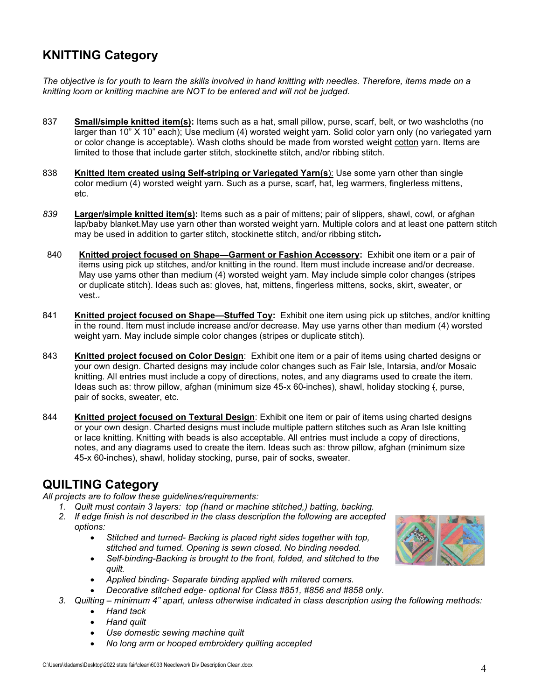# **KNITTING Category**

*The objective is for youth to learn the skills involved in hand knitting with needles. Therefore, items made on a knitting loom or knitting machine are NOT to be entered and will not be judged.*

- 837 **Small/simple knitted item(s):** Items such as a hat, small pillow, purse, scarf, belt, or two washcloths (no larger than 10" X 10" each); Use medium (4) worsted weight yarn. Solid color yarn only (no variegated yarn or color change is acceptable). Wash cloths should be made from worsted weight cotton yarn. Items are limited to those that include garter stitch, stockinette stitch, and/or ribbing stitch.
- 838 **Knitted Item created using Self-striping or Variegated Yarn(s**): Use some yarn other than single color medium (4) worsted weight yarn. Such as a purse, scarf, hat, leg warmers, finglerless mittens, etc.
- *839* **Larger/simple knitted item(s):** Items such as a pair of mittens; pair of slippers, shawl, cowl, or afghan lap/baby blanket.May use yarn other than worsted weight yarn. Multiple colors and at least one pattern stitch may be used in addition to garter stitch, stockinette stitch, and/or ribbing stitch.
- 840 **Knitted project focused on Shape—Garment or Fashion Accessory:** Exhibit one item or a pair of items using pick up stitches, and/or knitting in the round. Item must include increase and/or decrease. May use yarns other than medium (4) worsted weight yarn. May include simple color changes (stripes or duplicate stitch). Ideas such as: gloves, hat, mittens, fingerless mittens, socks, skirt, sweater, or vest..
- 841 **Knitted project focused on Shape—Stuffed Toy:** Exhibit one item using pick up stitches, and/or knitting in the round. Item must include increase and/or decrease. May use yarns other than medium (4) worsted weight yarn. May include simple color changes (stripes or duplicate stitch).
- 843 **Knitted project focused on Color Design**: Exhibit one item or a pair of items using charted designs or your own design. Charted designs may include color changes such as Fair Isle, Intarsia, and/or Mosaic knitting. All entries must include a copy of directions, notes, and any diagrams used to create the item. Ideas such as: throw pillow, afghan (minimum size 45-x 60-inches), shawl, holiday stocking (, purse, pair of socks, sweater, etc.
- 844 **Knitted project focused on Textural Design**: Exhibit one item or pair of items using charted designs or your own design. Charted designs must include multiple pattern stitches such as Aran Isle knitting or lace knitting. Knitting with beads is also acceptable. All entries must include a copy of directions, notes, and any diagrams used to create the item. Ideas such as: throw pillow, afghan (minimum size 45-x 60-inches), shawl, holiday stocking, purse, pair of socks, sweater.

# **QUILTING Category**

*All projects are to follow these guidelines/requirements:*

- *1. Quilt must contain 3 layers: top (hand or machine stitched,) batting, backing.*
	- *2. If edge finish is not described in the class description the following are accepted options:* 
		- *Stitched and turned- Backing is placed right sides together with top, stitched and turned. Opening is sewn closed. No binding needed.*
		- *Self-binding-Backing is brought to the front, folded, and stitched to the quilt.*
		- *Applied binding- Separate binding applied with mitered corners.*
		- *Decorative stitched edge- optional for Class #851, #856 and #858 only.*
	- *3. Quilting – minimum 4" apart, unless otherwise indicated in class description using the following methods:* 
		- *Hand tack*
		- *Hand quilt*
		- *Use domestic sewing machine quilt*
		- *No long arm or hooped embroidery quilting accepted*

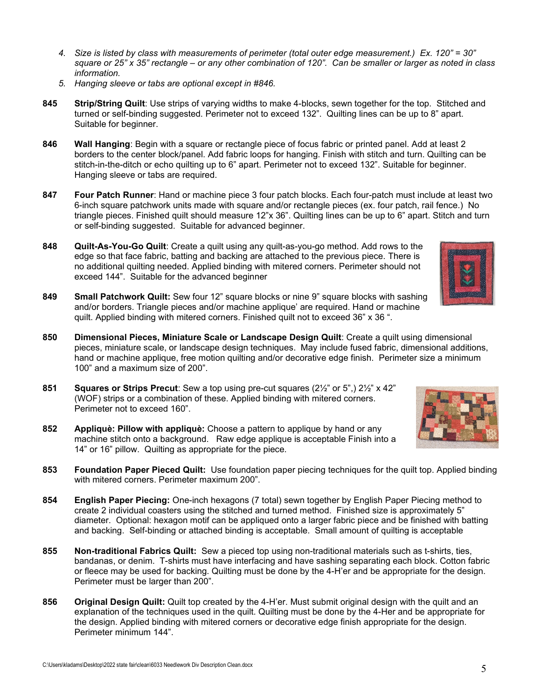- *4. Size is listed by class with measurements of perimeter (total outer edge measurement.) Ex. 120" = 30" square or 25" x 35" rectangle – or any other combination of 120". Can be smaller or larger as noted in class information.*
- *5. Hanging sleeve or tabs are optional except in #846.*
- **845 Strip/String Quilt**: Use strips of varying widths to make 4-blocks, sewn together for the top. Stitched and turned or self-binding suggested. Perimeter not to exceed 132". Quilting lines can be up to 8" apart. Suitable for beginner.
- **846 Wall Hanging**: Begin with a square or rectangle piece of focus fabric or printed panel. Add at least 2 borders to the center block/panel. Add fabric loops for hanging. Finish with stitch and turn. Quilting can be stitch-in-the-ditch or echo quilting up to 6" apart. Perimeter not to exceed 132". Suitable for beginner. Hanging sleeve or tabs are required.
- **847 Four Patch Runner**: Hand or machine piece 3 four patch blocks. Each four-patch must include at least two 6-inch square patchwork units made with square and/or rectangle pieces (ex. four patch, rail fence.) No triangle pieces. Finished quilt should measure 12"x 36". Quilting lines can be up to 6" apart. Stitch and turn or self-binding suggested. Suitable for advanced beginner.
- **848 Quilt-As-You-Go Quilt**: Create a quilt using any quilt-as-you-go method. Add rows to the edge so that face fabric, batting and backing are attached to the previous piece. There is no additional quilting needed. Applied binding with mitered corners. Perimeter should not exceed 144". Suitable for the advanced beginner
- **849 Small Patchwork Quilt:** Sew four 12" square blocks or nine 9" square blocks with sashing and/or borders. Triangle pieces and/or machine applique' are required. Hand or machine quilt. Applied binding with mitered corners. Finished quilt not to exceed 36" x 36 ".
- **850 Dimensional Pieces, Miniature Scale or Landscape Design Quilt**: Create a quilt using dimensional pieces, miniature scale, or landscape design techniques. May include fused fabric, dimensional additions, hand or machine applique, free motion quilting and/or decorative edge finish. Perimeter size a minimum 100" and a maximum size of 200".
- **851 Squares or Strips Precut**: Sew a top using pre-cut squares (2½" or 5",) 2½" x 42" (WOF) strips or a combination of these. Applied binding with mitered corners. Perimeter not to exceed 160".
- **852 Appliquè: Pillow with appliquè:** Choose a pattern to applique by hand or any machine stitch onto a background. Raw edge applique is acceptable Finish into a 14" or 16" pillow.Quilting as appropriate for the piece.
- **853 Foundation Paper Pieced Quilt:** Use foundation paper piecing techniques for the quilt top. Applied binding with mitered corners. Perimeter maximum 200".
- **854 English Paper Piecing:** One-inch hexagons (7 total) sewn together by English Paper Piecing method to create 2 individual coasters using the stitched and turned method. Finished size is approximately 5" diameter. Optional: hexagon motif can be appliqued onto a larger fabric piece and be finished with batting and backing. Self-binding or attached binding is acceptable. Small amount of quilting is acceptable
- **855 Non-traditional Fabrics Quilt:** Sew a pieced top using non-traditional materials such as t-shirts, ties, bandanas, or denim. T-shirts must have interfacing and have sashing separating each block. Cotton fabric or fleece may be used for backing. Quilting must be done by the 4-H'er and be appropriate for the design. Perimeter must be larger than 200".
- **856 Original Design Quilt:** Quilt top created by the 4-H'er. Must submit original design with the quilt and an explanation of the techniques used in the quilt. Quilting must be done by the 4-Her and be appropriate for the design. Applied binding with mitered corners or decorative edge finish appropriate for the design. Perimeter minimum 144".